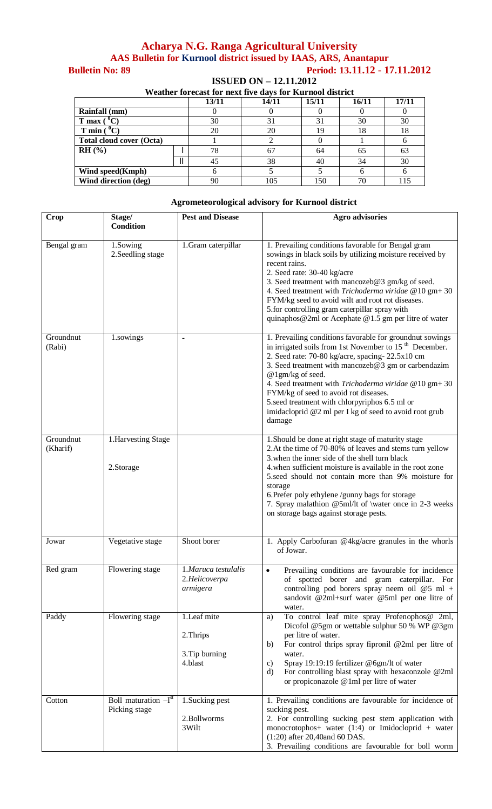## **Acharya N.G. Ranga Agricultural University AAS Bulletin for Kurnool district issued by IAAS, ARS, Anantapur Bulletin No: 89 Period: 13.11.12 - 17.11.2012**

**ISSUED ON – 12.11.2012**

| Weather forecast for next five days for Kurnool district |  |       |       |       |       |       |  |  |
|----------------------------------------------------------|--|-------|-------|-------|-------|-------|--|--|
|                                                          |  | 13/11 | 14/11 | 15/11 | 16/11 | 17/11 |  |  |
| <b>Rainfall</b> (mm)                                     |  |       |       |       |       |       |  |  |
| $T$ max $\prime$                                         |  | 30    | 31    | 31    | 30    | 30    |  |  |
| $\mathbf{C}$<br>$T$ min $($                              |  | 20    | 20    | 19    | 18    | 18    |  |  |
| <b>Total cloud cover (Octa)</b>                          |  |       |       |       |       | h     |  |  |
| RH (%)                                                   |  | 78    | 67    | 64    | 65    | 63    |  |  |
|                                                          |  | 45    | 38    | 40    | 34    | 30    |  |  |
| Wind speed(Kmph)                                         |  |       |       |       |       |       |  |  |
| Wind direction (deg)                                     |  | 90    | 105   | 150   | 70    |       |  |  |

| <b>Crop</b>           | Stage/<br><b>Condition</b>              | <b>Pest and Disease</b>                               | <b>Agro advisories</b>                                                                                                                                                                                                                                                                                                                                                                                                                                                             |
|-----------------------|-----------------------------------------|-------------------------------------------------------|------------------------------------------------------------------------------------------------------------------------------------------------------------------------------------------------------------------------------------------------------------------------------------------------------------------------------------------------------------------------------------------------------------------------------------------------------------------------------------|
| Bengal gram           | 1.Sowing<br>2. Seedling stage           | 1.Gram caterpillar                                    | 1. Prevailing conditions favorable for Bengal gram<br>sowings in black soils by utilizing moisture received by<br>recent rains.<br>2. Seed rate: 30-40 kg/acre<br>3. Seed treatment with mancozeb@3 gm/kg of seed.<br>4. Seed treatment with Trichoderma viridae @10 gm+30<br>FYM/kg seed to avoid wilt and root rot diseases.<br>5.for controlling gram caterpillar spray with<br>quinaphos@2ml or Acephate @1.5 gm per litre of water                                            |
| Groundnut<br>(Rabi)   | 1.sowings                               |                                                       | 1. Prevailing conditions favorable for groundnut sowings<br>in irrigated soils from 1st November to 15 <sup>th</sup> December.<br>2. Seed rate: 70-80 kg/acre, spacing-22.5x10 cm<br>3. Seed treatment with mancozeb@3 gm or carbendazim<br>@1gm/kg of seed.<br>4. Seed treatment with Trichoderma viridae @10 gm+30<br>FYM/kg of seed to avoid rot diseases.<br>5.seed treatment with chlorpyriphos 6.5 ml or<br>imidacloprid @2 ml per I kg of seed to avoid root grub<br>damage |
| Groundnut<br>(Kharif) | 1. Harvesting Stage<br>2.Storage        |                                                       | 1. Should be done at right stage of maturity stage<br>2. At the time of 70-80% of leaves and stems turn yellow<br>3. when the inner side of the shell turn black<br>4. when sufficient moisture is available in the root zone<br>5.seed should not contain more than 9% moisture for<br>storage<br>6. Prefer poly ethylene /gunny bags for storage<br>7. Spray malathion @5ml/lt of \water once in 2-3 weeks<br>on storage bags against storage pests.                             |
| Jowar                 | Vegetative stage                        | Shoot borer                                           | 1. Apply Carbofuran @4kg/acre granules in the whorls<br>of Jowar.                                                                                                                                                                                                                                                                                                                                                                                                                  |
| Red gram              | Flowering stage                         | 1.Maruca testulalis<br>2.Helicoverpa<br>armigera      | Prevailing conditions are favourable for incidence<br>$\bullet$<br>of spotted borer and gram caterpillar. For<br>controlling pod borers spray neem oil $@5$ ml +<br>sandovit @2ml+surf water @5ml per one litre of<br>water.                                                                                                                                                                                                                                                       |
| Paddy                 | Flowering stage                         | 1.Leaf mite<br>2. Thrips<br>3. Tip burning<br>4.blast | To control leaf mite spray Profenophos@ 2ml,<br>a)<br>Dicofol @5gm or wettable sulphur 50 % WP @3gm<br>per litre of water.<br>For control thrips spray fipronil @2ml per litre of<br>b)<br>water.<br>Spray 19:19:19 fertilizer @6gm/lt of water<br>$\mathbf{c}$<br>For controlling blast spray with hexaconzole @2ml<br>d)<br>or propiconazole @1ml per litre of water                                                                                                             |
| Cotton                | Boll maturation $-Ist$<br>Picking stage | 1. Sucking pest<br>2.Bollworms<br>3Wilt               | 1. Prevailing conditions are favourable for incidence of<br>sucking pest.<br>2. For controlling sucking pest stem application with<br>monocrotophos+ water (1:4) or Imidocloprid + water<br>$(1:20)$ after 20,40and 60 DAS.<br>3. Prevailing conditions are favourable for boll worm                                                                                                                                                                                               |

## **Agrometeorological advisory for Kurnool district**